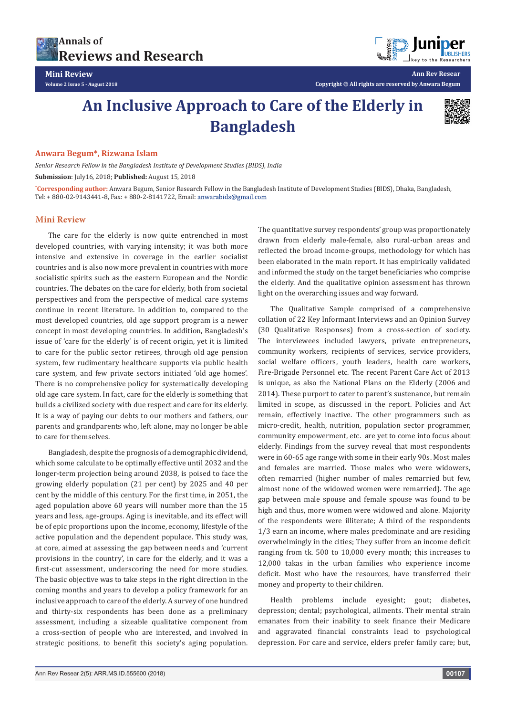



**Ann Rev Resear Copyright © All rights are reserved by Anwara Begum**

## **An Inclusive Approach to Care of the Elderly in Bangladesh**



## **Anwara Begum\*, Rizwana Islam**

*Senior Research Fellow in the Bangladesh Institute of Development Studies (BIDS), India* **Submission**: July16, 2018; **Published:** August 15, 2018

**\* Corresponding author:** Anwara Begum, Senior Research Fellow in the Bangladesh Institute of Development Studies (BIDS), Dhaka, Bangladesh, Tel: + 880-02-9143441-8, Fax: + 880-2-8141722, Email:

## **Mini Review**

The care for the elderly is now quite entrenched in most developed countries, with varying intensity; it was both more intensive and extensive in coverage in the earlier socialist countries and is also now more prevalent in countries with more socialistic spirits such as the eastern European and the Nordic countries. The debates on the care for elderly, both from societal perspectives and from the perspective of medical care systems continue in recent literature. In addition to, compared to the most developed countries, old age support program is a newer concept in most developing countries. In addition, Bangladesh's issue of 'care for the elderly' is of recent origin, yet it is limited to care for the public sector retirees, through old age pension system, few rudimentary healthcare supports via public health care system, and few private sectors initiated 'old age homes'. There is no comprehensive policy for systematically developing old age care system. In fact, care for the elderly is something that builds a civilized society with due respect and care for its elderly. It is a way of paying our debts to our mothers and fathers, our parents and grandparents who, left alone, may no longer be able to care for themselves.

Bangladesh, despite the prognosis of a demographic dividend, which some calculate to be optimally effective until 2032 and the longer-term projection being around 2038, is poised to face the growing elderly population (21 per cent) by 2025 and 40 per cent by the middle of this century. For the first time, in 2051, the aged population above 60 years will number more than the 15 years and less, age-groups. Aging is inevitable, and its effect will be of epic proportions upon the income, economy, lifestyle of the active population and the dependent populace. This study was, at core, aimed at assessing the gap between needs and 'current provisions in the country', in care for the elderly, and it was a first-cut assessment, underscoring the need for more studies. The basic objective was to take steps in the right direction in the coming months and years to develop a policy framework for an inclusive approach to care of the elderly. A survey of one hundred and thirty-six respondents has been done as a preliminary assessment, including a sizeable qualitative component from a cross-section of people who are interested, and involved in strategic positions, to benefit this society's aging population. The quantitative survey respondents' group was proportionately drawn from elderly male-female, also rural-urban areas and reflected the broad income-groups, methodology for which has been elaborated in the main report. It has empirically validated and informed the study on the target beneficiaries who comprise the elderly. And the qualitative opinion assessment has thrown light on the overarching issues and way forward.

The Qualitative Sample comprised of a comprehensive collation of 22 Key Informant Interviews and an Opinion Survey (30 Qualitative Responses) from a cross-section of society. The interviewees included lawyers, private entrepreneurs, community workers, recipients of services, service providers, social welfare officers, youth leaders, health care workers, Fire-Brigade Personnel etc. The recent Parent Care Act of 2013 is unique, as also the National Plans on the Elderly (2006 and 2014). These purport to cater to parent's sustenance, but remain limited in scope, as discussed in the report. Policies and Act remain, effectively inactive. The other programmers such as micro-credit, health, nutrition, population sector programmer, community empowerment, etc. are yet to come into focus about elderly. Findings from the survey reveal that most respondents were in 60-65 age range with some in their early 90s. Most males and females are married. Those males who were widowers, often remarried (higher number of males remarried but few, almost none of the widowed women were remarried). The age gap between male spouse and female spouse was found to be high and thus, more women were widowed and alone. Majority of the respondents were illiterate; A third of the respondents 1/3 earn an income, where males predominate and are residing overwhelmingly in the cities; They suffer from an income deficit ranging from tk. 500 to 10,000 every month; this increases to 12,000 takas in the urban families who experience income deficit. Most who have the resources, have transferred their money and property to their children.

Health problems include eyesight; gout; diabetes, depression; dental; psychological, ailments. Their mental strain emanates from their inability to seek finance their Medicare and aggravated financial constraints lead to psychological depression. For care and service, elders prefer family care; but,